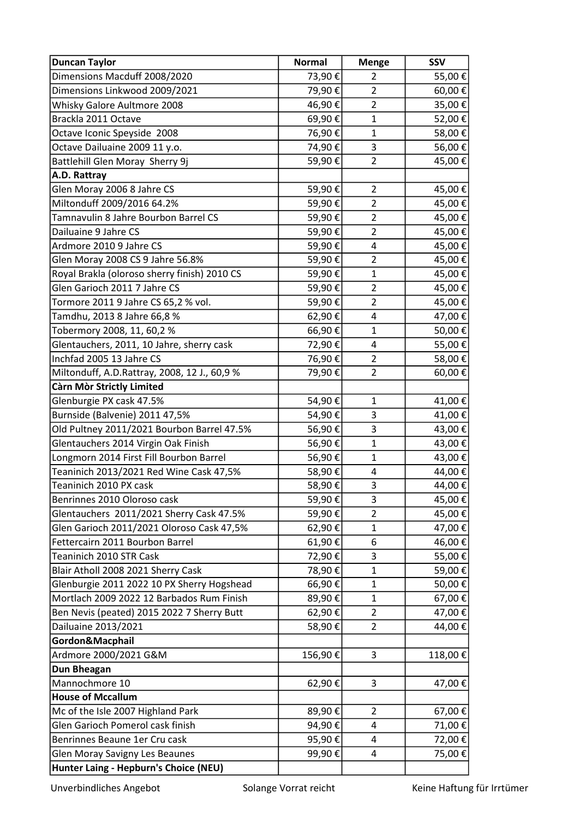| <b>Duncan Taylor</b>                         | <b>Normal</b> | <b>Menge</b>            | <b>SSV</b> |
|----------------------------------------------|---------------|-------------------------|------------|
| Dimensions Macduff 2008/2020                 | 73,90€        | $\overline{2}$          | 55,00€     |
| Dimensions Linkwood 2009/2021                | 79,90€        | $\overline{2}$          | 60,00€     |
| Whisky Galore Aultmore 2008                  | 46,90€        | $\overline{2}$          | 35,00 €    |
| Brackla 2011 Octave                          | 69,90€        | $\mathbf{1}$            | 52,00€     |
| Octave Iconic Speyside 2008                  | 76,90€        | $\mathbf{1}$            | 58,00€     |
| Octave Dailuaine 2009 11 y.o.                | 74,90€        | 3                       | 56,00€     |
| Battlehill Glen Moray Sherry 9j              | 59,90€        | $\overline{2}$          | 45,00€     |
| A.D. Rattray                                 |               |                         |            |
| Glen Moray 2006 8 Jahre CS                   | 59,90€        | $\overline{2}$          | 45,00€     |
| Miltonduff 2009/2016 64.2%                   | 59,90€        | $\overline{2}$          | 45,00€     |
| Tamnavulin 8 Jahre Bourbon Barrel CS         | 59,90€        | $\overline{2}$          | 45,00 €    |
| Dailuaine 9 Jahre CS                         | 59,90€        | $\overline{2}$          | 45,00€     |
| Ardmore 2010 9 Jahre CS                      | 59,90€        | 4                       | 45,00€     |
| Glen Moray 2008 CS 9 Jahre 56.8%             | 59,90€        | $\overline{2}$          | 45,00 €    |
| Royal Brakla (oloroso sherry finish) 2010 CS | 59,90€        | $\mathbf{1}$            | 45,00€     |
| Glen Garioch 2011 7 Jahre CS                 | 59,90€        | $\overline{2}$          | 45,00€     |
| Tormore 2011 9 Jahre CS 65,2 % vol.          | 59,90€        | $\overline{2}$          | 45,00€     |
| Tamdhu, 2013 8 Jahre 66,8 %                  | 62,90€        | 4                       | 47,00€     |
| Tobermory 2008, 11, 60,2 %                   | 66,90€        | $\mathbf{1}$            | 50,00€     |
| Glentauchers, 2011, 10 Jahre, sherry cask    | 72,90€        | $\overline{\mathbf{4}}$ | 55,00€     |
| Inchfad 2005 13 Jahre CS                     | 76,90€        | $\overline{2}$          | 58,00€     |
| Miltonduff, A.D.Rattray, 2008, 12 J., 60,9 % | 79,90€        | $\overline{2}$          | 60,00€     |
| Càrn Mòr Strictly Limited                    |               |                         |            |
| Glenburgie PX cask 47.5%                     | 54,90€        | $\mathbf{1}$            | 41,00 €    |
| Burnside (Balvenie) 2011 47,5%               | 54,90€        | 3                       | 41,00 €    |
| Old Pultney 2011/2021 Bourbon Barrel 47.5%   | 56,90€        | 3                       | 43,00 €    |
| Glentauchers 2014 Virgin Oak Finish          | 56,90€        | $\mathbf{1}$            | 43,00 €    |
| Longmorn 2014 First Fill Bourbon Barrel      | 56,90€        | $\mathbf{1}$            | 43,00 €    |
| Teaninich 2013/2021 Red Wine Cask 47,5%      | 58,90€        | 4                       | 44,00 €    |
| Teaninich 2010 PX cask                       | 58,90€        | 3                       | 44,00 €    |
| Benrinnes 2010 Oloroso cask                  | 59,90€        | 3                       | 45,00€     |
| Glentauchers 2011/2021 Sherry Cask 47.5%     | 59,90€        | $\overline{2}$          | 45,00€     |
| Glen Garioch 2011/2021 Oloroso Cask 47,5%    | 62,90€        | $\mathbf{1}$            | 47,00€     |
| Fettercairn 2011 Bourbon Barrel              | 61,90€        | 6                       | 46,00€     |
| Teaninich 2010 STR Cask                      | 72,90€        | 3                       | 55,00€     |
| Blair Atholl 2008 2021 Sherry Cask           | 78,90€        | $\mathbf{1}$            | 59,00€     |
| Glenburgie 2011 2022 10 PX Sherry Hogshead   | 66,90€        | $\mathbf{1}$            | 50,00€     |
| Mortlach 2009 2022 12 Barbados Rum Finish    | 89,90€        | $\mathbf{1}$            | 67,00€     |
| Ben Nevis (peated) 2015 2022 7 Sherry Butt   | 62,90€        | $\overline{2}$          | 47,00€     |
| Dailuaine 2013/2021                          | 58,90€        | $\overline{2}$          | 44,00€     |
| Gordon&Macphail                              |               |                         |            |
| Ardmore 2000/2021 G&M                        | 156,90€       | 3                       | 118,00€    |
| Dun Bheagan                                  |               |                         |            |
| Mannochmore 10                               | 62,90€        | 3                       | 47,00€     |
| <b>House of Mccallum</b>                     |               |                         |            |
| Mc of the Isle 2007 Highland Park            | 89,90€        | $\overline{2}$          | 67,00€     |
| Glen Garioch Pomerol cask finish             | 94,90€        | 4                       | 71,00€     |
| Benrinnes Beaune 1er Cru cask                | 95,90€        | 4                       | 72,00€     |
| <b>Glen Moray Savigny Les Beaunes</b>        | 99,90€        | 4                       | 75,00 €    |
| Hunter Laing - Hepburn's Choice (NEU)        |               |                         |            |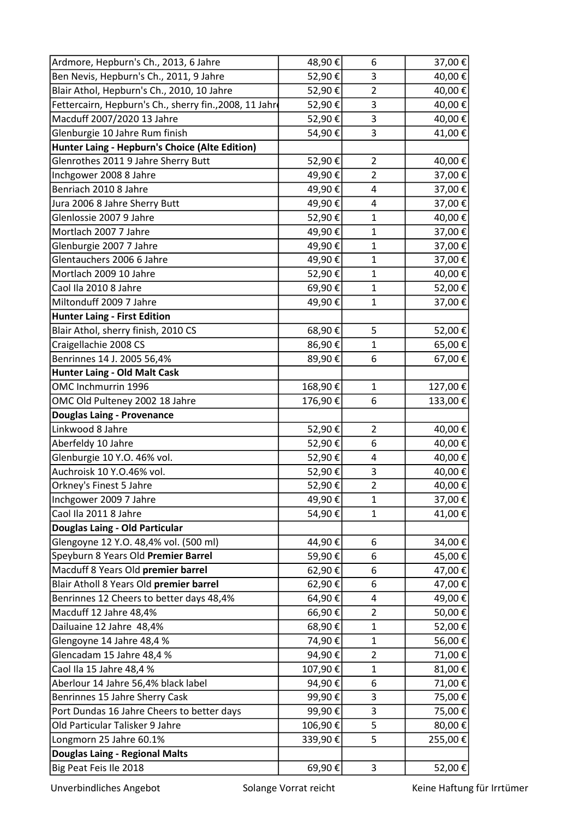| Ardmore, Hepburn's Ch., 2013, 6 Jahre                  | 48,90€  | 6              | 37,00€  |
|--------------------------------------------------------|---------|----------------|---------|
| Ben Nevis, Hepburn's Ch., 2011, 9 Jahre                | 52,90€  | 3              | 40,00€  |
| Blair Athol, Hepburn's Ch., 2010, 10 Jahre             | 52,90€  | $\overline{2}$ | 40,00€  |
| Fettercairn, Hepburn's Ch., sherry fin., 2008, 11 Jahr | 52,90€  | 3              | 40,00€  |
| Macduff 2007/2020 13 Jahre                             | 52,90€  | 3              | 40,00 € |
| Glenburgie 10 Jahre Rum finish                         | 54,90€  | 3              | 41,00€  |
| Hunter Laing - Hepburn's Choice (Alte Edition)         |         |                |         |
| Glenrothes 2011 9 Jahre Sherry Butt                    | 52,90€  | $\overline{2}$ | 40,00€  |
| Inchgower 2008 8 Jahre                                 | 49,90€  | $\overline{2}$ | 37,00€  |
| Benriach 2010 8 Jahre                                  | 49,90€  | 4              | 37,00€  |
| Jura 2006 8 Jahre Sherry Butt                          | 49,90€  | 4              | 37,00€  |
| Glenlossie 2007 9 Jahre                                | 52,90€  | $\mathbf{1}$   | 40,00€  |
| Mortlach 2007 7 Jahre                                  | 49,90€  | $\mathbf{1}$   | 37,00€  |
| Glenburgie 2007 7 Jahre                                | 49,90€  | $\mathbf{1}$   | 37,00 € |
| Glentauchers 2006 6 Jahre                              | 49,90€  | 1              | 37,00€  |
| Mortlach 2009 10 Jahre                                 | 52,90€  | $\mathbf{1}$   | 40,00€  |
| Caol Ila 2010 8 Jahre                                  | 69,90€  | $\mathbf{1}$   | 52,00€  |
| Miltonduff 2009 7 Jahre                                | 49,90€  | $\mathbf{1}$   | 37,00€  |
| <b>Hunter Laing - First Edition</b>                    |         |                |         |
| Blair Athol, sherry finish, 2010 CS                    | 68,90€  | 5              | 52,00€  |
| Craigellachie 2008 CS                                  | 86,90€  | $\mathbf{1}$   | 65,00€  |
| Benrinnes 14 J. 2005 56,4%                             | 89,90€  | 6              | 67,00 € |
| <b>Hunter Laing - Old Malt Cask</b>                    |         |                |         |
| OMC Inchmurrin 1996                                    | 168,90€ | 1              | 127,00€ |
| OMC Old Pulteney 2002 18 Jahre                         | 176,90€ | 6              | 133,00€ |
| <b>Douglas Laing - Provenance</b>                      |         |                |         |
| Linkwood 8 Jahre                                       | 52,90€  | $\overline{2}$ | 40,00€  |
| Aberfeldy 10 Jahre                                     | 52,90€  | 6              | 40,00 € |
| Glenburgie 10 Y.O. 46% vol.                            | 52,90€  | 4              | 40,00 € |
| Auchroisk 10 Y.O.46% vol.                              | 52,90€  | 3              | 40,00 € |
| Orkney's Finest 5 Jahre                                | 52,90€  | $\overline{c}$ | 40,00 € |
| Inchgower 2009 7 Jahre                                 | 49,90€  | 1              | 37,00 € |
| Caol Ila 2011 8 Jahre                                  | 54,90€  | $\mathbf{1}$   | 41,00€  |
| Douglas Laing - Old Particular                         |         |                |         |
| Glengoyne 12 Y.O. 48,4% vol. (500 ml)                  | 44,90€  | 6              | 34,00€  |
| Speyburn 8 Years Old Premier Barrel                    | 59,90€  | 6              | 45,00€  |
| Macduff 8 Years Old premier barrel                     | 62,90€  | 6              | 47,00€  |
| Blair Atholl 8 Years Old premier barrel                | 62,90€  | 6              | 47,00€  |
| Benrinnes 12 Cheers to better days 48,4%               | 64,90€  | 4              | 49,00€  |
| Macduff 12 Jahre 48,4%                                 | 66,90€  | $\overline{2}$ | 50,00€  |
| Dailuaine 12 Jahre 48,4%                               | 68,90€  | $\mathbf{1}$   | 52,00€  |
| Glengoyne 14 Jahre 48,4 %                              | 74,90€  | 1              | 56,00€  |
| Glencadam 15 Jahre 48,4 %                              | 94,90€  | $\overline{2}$ | 71,00€  |
| Caol Ila 15 Jahre 48,4 %                               | 107,90€ | $\mathbf{1}$   | 81,00€  |
| Aberlour 14 Jahre 56,4% black label                    | 94,90€  | 6              | 71,00€  |
| Benrinnes 15 Jahre Sherry Cask                         | 99,90€  | 3              | 75,00€  |
| Port Dundas 16 Jahre Cheers to better days             | 99,90€  | 3              | 75,00€  |
| Old Particular Talisker 9 Jahre                        | 106,90€ | 5              | 80,00€  |
| Longmorn 25 Jahre 60.1%                                | 339,90€ | 5              | 255,00€ |
| Douglas Laing - Regional Malts                         |         |                |         |
| Big Peat Feis Ile 2018                                 | 69,90€  | 3              | 52,00 € |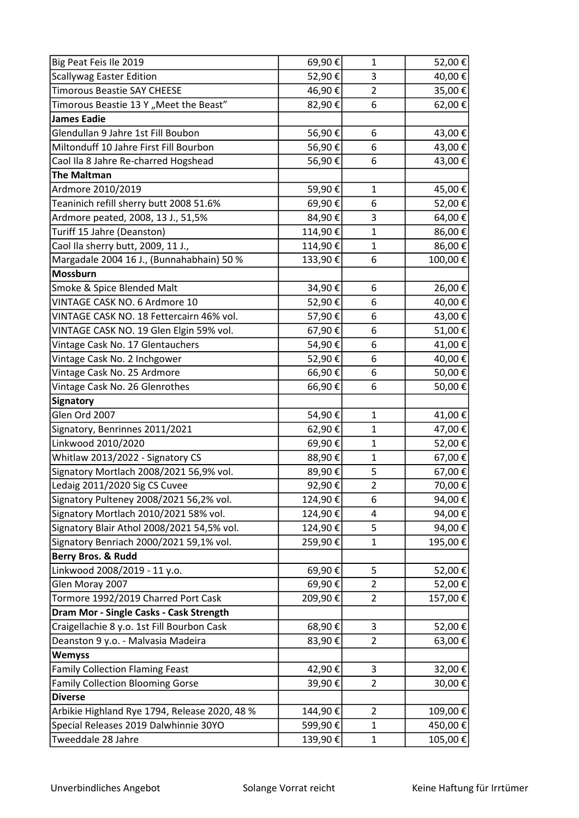| Big Peat Feis Ile 2019                        | 69,90€  | $\mathbf{1}$            | 52,00€  |
|-----------------------------------------------|---------|-------------------------|---------|
| <b>Scallywag Easter Edition</b>               | 52,90€  | 3                       | 40,00€  |
| <b>Timorous Beastie SAY CHEESE</b>            | 46,90€  | $\overline{2}$          | 35,00 € |
| Timorous Beastie 13 Y "Meet the Beast"        | 82,90€  | 6                       | 62,00€  |
| <b>James Eadie</b>                            |         |                         |         |
| Glendullan 9 Jahre 1st Fill Boubon            | 56,90€  | 6                       | 43,00€  |
| Miltonduff 10 Jahre First Fill Bourbon        | 56,90€  | 6                       | 43,00 € |
| Caol Ila 8 Jahre Re-charred Hogshead          | 56,90€  | 6                       | 43,00 € |
| <b>The Maltman</b>                            |         |                         |         |
| Ardmore 2010/2019                             | 59,90€  | $\mathbf{1}$            | 45,00€  |
| Teaninich refill sherry butt 2008 51.6%       | 69,90€  | 6                       | 52,00€  |
| Ardmore peated, 2008, 13 J., 51,5%            | 84,90€  | 3                       | 64,00€  |
| Turiff 15 Jahre (Deanston)                    | 114,90€ | $\mathbf{1}$            | 86,00€  |
| Caol Ila sherry butt, 2009, 11 J.,            | 114,90€ | 1                       | 86,00€  |
| Margadale 2004 16 J., (Bunnahabhain) 50 %     | 133,90€ | 6                       | 100,00€ |
| Mossburn                                      |         |                         |         |
| Smoke & Spice Blended Malt                    | 34,90€  | 6                       | 26,00€  |
| VINTAGE CASK NO. 6 Ardmore 10                 | 52,90€  | 6                       | 40,00€  |
| VINTAGE CASK NO. 18 Fettercairn 46% vol.      | 57,90€  | 6                       | 43,00€  |
| VINTAGE CASK NO. 19 Glen Elgin 59% vol.       | 67,90€  | 6                       | 51,00€  |
| Vintage Cask No. 17 Glentauchers              | 54,90€  | 6                       | 41,00€  |
| Vintage Cask No. 2 Inchgower                  | 52,90€  | 6                       | 40,00€  |
| Vintage Cask No. 25 Ardmore                   | 66,90€  | 6                       | 50,00 € |
| Vintage Cask No. 26 Glenrothes                | 66,90€  | 6                       | 50,00€  |
| Signatory                                     |         |                         |         |
| Glen Ord 2007                                 | 54,90€  | $\mathbf{1}$            | 41,00€  |
| Signatory, Benrinnes 2011/2021                | 62,90€  | 1                       | 47,00 € |
| Linkwood 2010/2020                            | 69,90€  | $\mathbf{1}$            | 52,00€  |
| Whitlaw 2013/2022 - Signatory CS              | 88,90€  | 1                       | 67,00 € |
| Signatory Mortlach 2008/2021 56,9% vol.       | 89,90€  | 5                       | 67,00 € |
| Ledaig 2011/2020 Sig CS Cuvee                 | 92,90€  | $\overline{\mathbf{c}}$ | 70,00€  |
| Signatory Pulteney 2008/2021 56,2% vol.       | 124,90€ | 6                       | 94,00€  |
| Signatory Mortlach 2010/2021 58% vol.         | 124,90€ | 4                       | 94,00€  |
| Signatory Blair Athol 2008/2021 54,5% vol.    | 124,90€ | 5                       | 94,00€  |
| Signatory Benriach 2000/2021 59,1% vol.       | 259,90€ | 1                       | 195,00€ |
| Berry Bros. & Rudd                            |         |                         |         |
| Linkwood 2008/2019 - 11 y.o.                  | 69,90€  | 5                       | 52,00€  |
| Glen Moray 2007                               | 69,90€  | 2                       | 52,00€  |
| Tormore 1992/2019 Charred Port Cask           | 209,90€ | $\overline{2}$          | 157,00€ |
| Dram Mor - Single Casks - Cask Strength       |         |                         |         |
| Craigellachie 8 y.o. 1st Fill Bourbon Cask    | 68,90€  | 3                       | 52,00€  |
| Deanston 9 y.o. - Malvasia Madeira            | 83,90€  | 2                       | 63,00€  |
| <b>Wemyss</b>                                 |         |                         |         |
| <b>Family Collection Flaming Feast</b>        | 42,90€  | 3                       | 32,00€  |
| <b>Family Collection Blooming Gorse</b>       | 39,90€  | $\overline{2}$          | 30,00€  |
| <b>Diverse</b>                                |         |                         |         |
| Arbikie Highland Rye 1794, Release 2020, 48 % | 144,90€ | $\overline{2}$          | 109,00€ |
| Special Releases 2019 Dalwhinnie 30YO         | 599,90€ | $\mathbf{1}$            | 450,00€ |
| Tweeddale 28 Jahre                            | 139,90€ | $\mathbf{1}$            | 105,00€ |
|                                               |         |                         |         |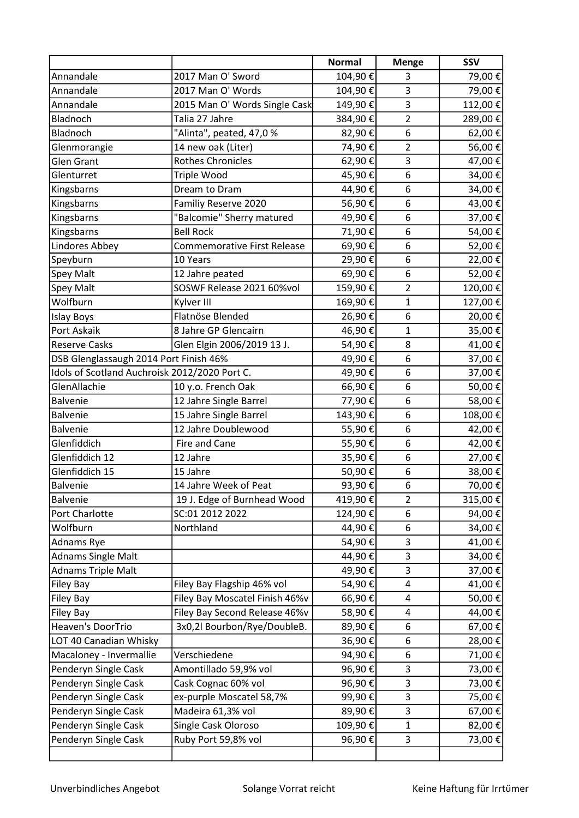|                                               |                                    | <b>Normal</b> | <b>Menge</b>   | <b>SSV</b> |
|-----------------------------------------------|------------------------------------|---------------|----------------|------------|
| Annandale                                     | 2017 Man O' Sword                  | 104,90€       | 3              | 79,00€     |
| Annandale                                     | 2017 Man O' Words                  | 104,90€       | 3              | 79,00€     |
| Annandale                                     | 2015 Man O' Words Single Cask      | 149,90€       | 3              | 112,00€    |
| Bladnoch                                      | Talia 27 Jahre                     | 384,90€       | $\overline{2}$ | 289,00€    |
| Bladnoch                                      | "Alinta", peated, 47,0%            | 82,90€        | 6              | 62,00€     |
| Glenmorangie                                  | 14 new oak (Liter)                 | 74,90€        | $\overline{2}$ | 56,00€     |
| <b>Glen Grant</b>                             | <b>Rothes Chronicles</b>           | 62,90€        | 3              | 47,00€     |
| Glenturret                                    | Triple Wood                        | 45,90€        | 6              | 34,00€     |
| Kingsbarns                                    | Dream to Dram                      | 44,90€        | 6              | 34,00€     |
| Kingsbarns                                    | Familiy Reserve 2020               | 56,90€        | 6              | 43,00€     |
| Kingsbarns                                    | "Balcomie" Sherry matured          | 49,90€        | 6              | 37,00€     |
| Kingsbarns                                    | <b>Bell Rock</b>                   | 71,90€        | 6              | 54,00€     |
| Lindores Abbey                                | <b>Commemorative First Release</b> | 69,90€        | 6              | 52,00€     |
| Speyburn                                      | 10 Years                           | 29,90€        | 6              | 22,00€     |
| Spey Malt                                     | 12 Jahre peated                    | 69,90€        | 6              | 52,00€     |
| Spey Malt                                     | SOSWF Release 2021 60%vol          | 159,90€       | $\overline{2}$ | 120,00€    |
| Wolfburn                                      | Kylver III                         | 169,90€       | $\mathbf{1}$   | 127,00€    |
| <b>Islay Boys</b>                             | Flatnöse Blended                   | 26,90€        | 6              | 20,00€     |
| Port Askaik                                   | 8 Jahre GP Glencairn               | 46,90€        | 1              | 35,00€     |
| <b>Reserve Casks</b>                          | Glen Elgin 2006/2019 13 J.         | 54,90€        | 8              | 41,00€     |
| DSB Glenglassaugh 2014 Port Finish 46%        |                                    | 49,90€        | 6              | 37,00€     |
| Idols of Scotland Auchroisk 2012/2020 Port C. |                                    | 49,90€        | 6              | 37,00€     |
| GlenAllachie                                  | 10 y.o. French Oak                 | 66,90€        | 6              | 50,00€     |
| <b>Balvenie</b>                               | 12 Jahre Single Barrel             | 77,90€        | 6              | 58,00€     |
| <b>Balvenie</b>                               | 15 Jahre Single Barrel             | 143,90€       | 6              | 108,00€    |
| <b>Balvenie</b>                               | 12 Jahre Doublewood                | 55,90€        | 6              | 42,00€     |
| Glenfiddich                                   | Fire and Cane                      | 55,90€        | 6              | 42,00€     |
| Glenfiddich 12                                | 12 Jahre                           | 35,90€        | 6              | 27,00€     |
| Glenfiddich 15                                | 15 Jahre                           | 50,90€        | 6              | 38,00€     |
| Balvenie                                      | 14 Jahre Week of Peat              | 93,90€        | 6              | 70,00€     |
| <b>Balvenie</b>                               | 19 J. Edge of Burnhead Wood        | 419,90€       | $\overline{2}$ | 315,00€    |
| Port Charlotte                                | SC:01 2012 2022                    | 124,90€       | 6              | 94,00€     |
| Wolfburn                                      | Northland                          | 44,90€        | 6              | 34,00€     |
| Adnams Rye                                    |                                    | 54,90€        | 3              | 41,00€     |
| <b>Adnams Single Malt</b>                     |                                    | 44,90€        | 3              | 34,00€     |
| <b>Adnams Triple Malt</b>                     |                                    | 49,90€        | 3              | 37,00€     |
| Filey Bay                                     | Filey Bay Flagship 46% vol         | 54,90€        | 4              | 41,00€     |
| <b>Filey Bay</b>                              | Filey Bay Moscatel Finish 46%v     | 66,90€        | 4              | 50,00€     |
| <b>Filey Bay</b>                              | Filey Bay Second Release 46%v      | 58,90€        | 4              | 44,00€     |
| Heaven's DoorTrio                             | 3x0,2l Bourbon/Rye/DoubleB.        | 89,90€        | 6              | 67,00€     |
| LOT 40 Canadian Whisky                        |                                    | 36,90€        | 6              | 28,00€     |
| Macaloney - Invermallie                       | Verschiedene                       | 94,90€        | 6              | 71,00€     |
| Penderyn Single Cask                          | Amontillado 59,9% vol              | 96,90€        | 3              | 73,00€     |
| Penderyn Single Cask                          | Cask Cognac 60% vol                | 96,90€        | 3              | 73,00€     |
| Penderyn Single Cask                          | ex-purple Moscatel 58,7%           | 99,90€        | 3              | 75,00€     |
| Penderyn Single Cask                          | Madeira 61,3% vol                  | 89,90€        | 3              | 67,00€     |
| Penderyn Single Cask                          | Single Cask Oloroso                | 109,90€       | $\mathbf{1}$   | 82,00€     |
| Penderyn Single Cask                          | Ruby Port 59,8% vol                | 96,90€        | 3              | 73,00€     |
|                                               |                                    |               |                |            |